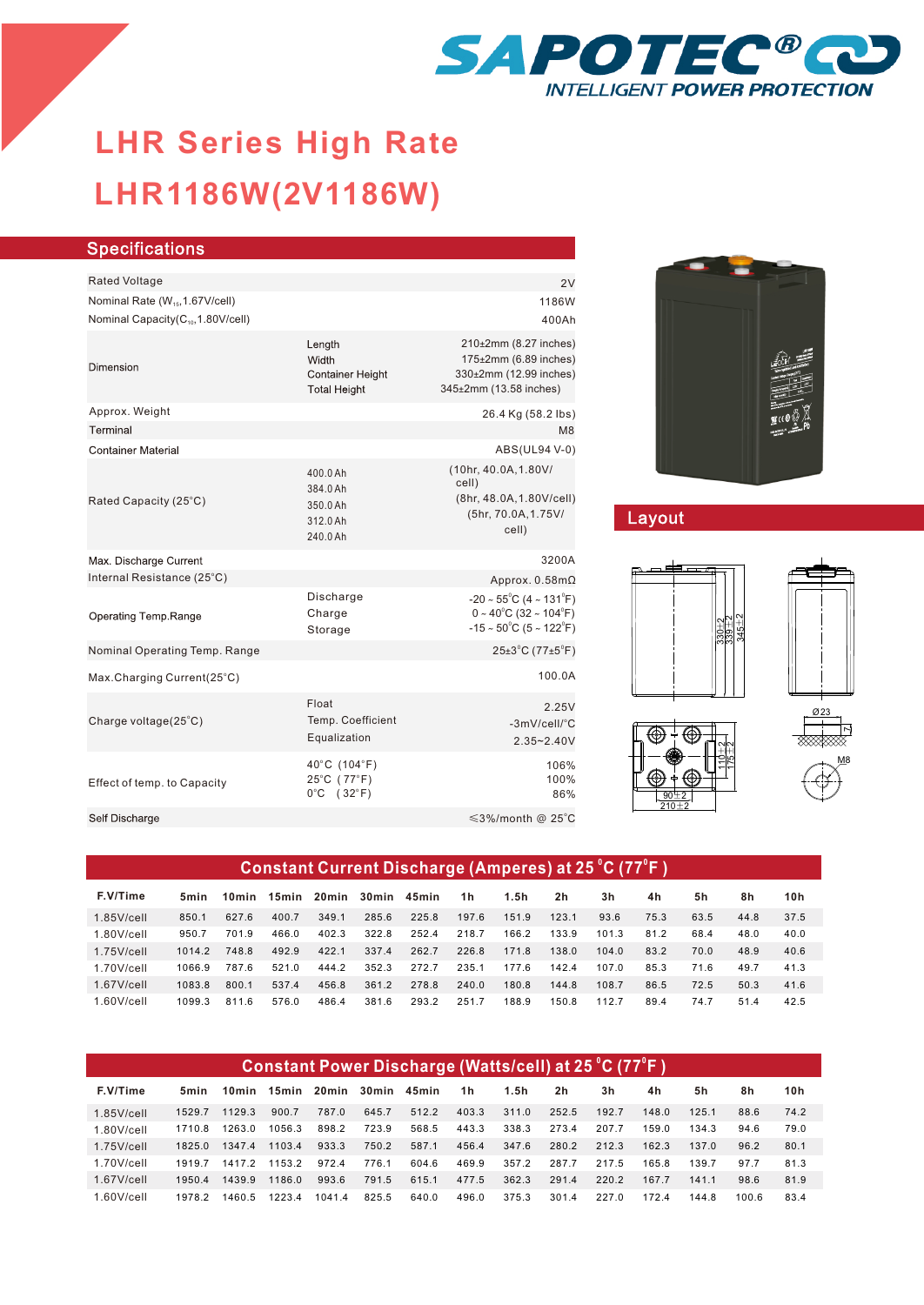

# **LHR1186W(2V1186W) LHR Series High Rate**

| <b>Specifications</b>                                                                        |                                                                   |                                                                                                                                                   |
|----------------------------------------------------------------------------------------------|-------------------------------------------------------------------|---------------------------------------------------------------------------------------------------------------------------------------------------|
| <b>Rated Voltage</b>                                                                         |                                                                   | 2V                                                                                                                                                |
| Nominal Rate (W <sub>15</sub> , 1.67V/cell)<br>Nominal Capacity(C <sub>10</sub> ,1.80V/cell) |                                                                   | 1186W<br>400Ah                                                                                                                                    |
| Dimension                                                                                    | Length<br>Width<br><b>Container Height</b><br><b>Total Height</b> | 210±2mm (8.27 inches)<br>175±2mm (6.89 inches)<br>330±2mm (12.99 inches)<br>345±2mm (13.58 inches)                                                |
| Approx. Weight                                                                               |                                                                   | 26.4 Kg (58.2 lbs)                                                                                                                                |
| Terminal                                                                                     |                                                                   | M <sub>8</sub>                                                                                                                                    |
| <b>Container Material</b>                                                                    |                                                                   | ABS(UL94 V-0)                                                                                                                                     |
| Rated Capacity (25°C)                                                                        | 400.0 Ah<br>384.0 Ah<br>350.0 Ah<br>312.0 Ah<br>240.0 Ah          | (10hr, 40.0A, 1.80V/<br>cell)<br>(8hr, 48.0A, 1.80V/cell)<br>(5hr, 70.0A, 1.75V/<br>cell)                                                         |
| Max. Discharge Current                                                                       |                                                                   | 3200A                                                                                                                                             |
| Internal Resistance (25°C)                                                                   |                                                                   | Approx. $0.58$ m $\Omega$                                                                                                                         |
| Operating Temp.Range                                                                         | Discharge<br>Charge<br>Storage                                    | $-20 \sim 55^{\circ}$ C (4 ~ 131 $^{\circ}$ F)<br>$0 \sim 40^{\circ}$ C (32 ~ 104 $^{\circ}$ F)<br>$-15 \sim 50^{\circ}$ C (5 ~ 122 $^{\circ}$ F) |
| Nominal Operating Temp. Range                                                                |                                                                   | $25\pm3$ °C (77 $\pm5$ °F)                                                                                                                        |
| Max.Charging Current(25°C)                                                                   |                                                                   | 100.0A                                                                                                                                            |
| Charge voltage(25°C)                                                                         | Float<br>Temp. Coefficient<br>Equalization                        | 2.25V<br>-3mV/cell/°C<br>$2.35 - 2.40V$                                                                                                           |
| Effect of temp. to Capacity                                                                  | 40°C (104°F)<br>25°C (77°F)<br>$0^{\circ}$ C (32 $^{\circ}$ F)    | 106%<br>100%<br>86%                                                                                                                               |
| Self Discharge                                                                               |                                                                   | $\leq$ 3%/month @ 25°C                                                                                                                            |
|                                                                                              |                                                                   |                                                                                                                                                   |



## Layout



| Constant Current Discharge (Amperes) at 25 °C (77°F) |        |       |       |       |                   |       |       |       |                |       |      |      |      |      |
|------------------------------------------------------|--------|-------|-------|-------|-------------------|-------|-------|-------|----------------|-------|------|------|------|------|
| F.V/Time                                             | 5min   | 10min | 15min |       | 20min 30min 45min |       | 1h    | 1.5h  | 2 <sub>h</sub> | 3h    | 4h   | 5h   | 8h   | 10h  |
| $1.85$ V/cell                                        | 850.1  | 627.6 | 400.7 | 349.1 | 285.6             | 225.8 | 197.6 | 151.9 | 123.1          | 93.6  | 75.3 | 63.5 | 44.8 | 37.5 |
| $1.80$ V/cell                                        | 950.7  | 701.9 | 466.0 | 402.3 | 322.8             | 252.4 | 218.7 | 166.2 | 133.9          | 101.3 | 81.2 | 68.4 | 48.0 | 40.0 |
| $1.75$ V/cell                                        | 1014.2 | 7488  | 492.9 | 422.1 | 337.4             | 262.7 | 226.8 | 171.8 | 138.0          | 104.0 | 83.2 | 70.0 | 48.9 | 40.6 |
| $1.70$ V/cell                                        | 1066.9 | 787.6 | 521.0 | 444.2 | 352.3             | 272.7 | 235.1 | 177.6 | 142.4          | 107.0 | 85.3 | 71.6 | 49.7 | 41.3 |
| $1.67$ V/cell                                        | 1083.8 | 800.1 | 537.4 | 456.8 | 361.2             | 278.8 | 240.0 | 180.8 | 144.8          | 108.7 | 86.5 | 72.5 | 50.3 | 41.6 |
| $1.60$ V/cell                                        | 1099.3 | 811.6 | 576.0 | 486.4 | 381.6             | 293.2 | 251.7 | 188.9 | 150.8          | 112.7 | 89.4 | 74.7 | 51.4 | 42.5 |

| Constant Power Discharge (Watts/cell) at 25 °C (77°F) |        |        |        |        |                   |       |       |       |                |       |       |       |       |      |
|-------------------------------------------------------|--------|--------|--------|--------|-------------------|-------|-------|-------|----------------|-------|-------|-------|-------|------|
| F.V/Time                                              | 5min   | 10min  | 15min  |        | 20min 30min 45min |       | 1 h   | 1.5h  | 2 <sub>h</sub> | 3h    | 4h    | 5h    | 8h    | 10h  |
| $1.85$ V/cell                                         | 1529.7 | 1129.3 | 900.7  | 787.0  | 645.7             | 512.2 | 403.3 | 311.0 | 252.5          | 192.7 | 148.0 | 125.1 | 88.6  | 74.2 |
| $1.80$ V/cell                                         | 1710.8 | 1263.0 | 1056.3 | 898.2  | 723.9             | 568.5 | 443.3 | 338.3 | 273.4          | 207.7 | 159.0 | 134.3 | 94.6  | 79.0 |
| $1.75$ V/cell                                         | 1825.0 | 13474  | 11034  | 933.3  | 750.2             | 587.1 | 456.4 | 347.6 | 280.2          | 2123  | 162.3 | 137.0 | 96.2  | 80.1 |
| $1.70$ V/cell                                         | 19197  | 14172  | 1153.2 | 972.4  | 776.1             | 604.6 | 469.9 | 357.2 | 287.7          | 217.5 | 165.8 | 139.7 | 97.7  | 81.3 |
| $1.67$ V/cell                                         | 19504  | 1439.9 | 1186.0 | 993.6  | 791.5             | 615.1 | 477.5 | 362.3 | 291.4          | 2202  | 167.7 | 141.1 | 98.6  | 81.9 |
| $1.60$ V/cell                                         | 1978.2 | 1460.5 | 12234  | 1041.4 | 825.5             | 640.0 | 496.0 | 375.3 | 301.4          | 227 O | 172.4 | 144.8 | 100.6 | 83.4 |